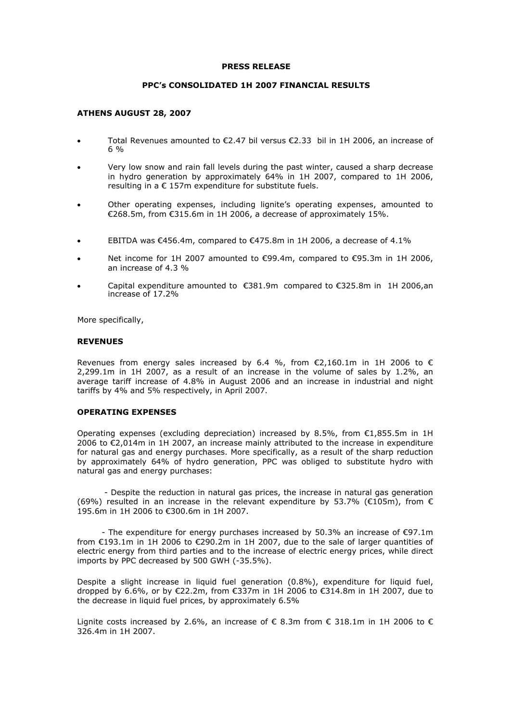#### **PRESS RELEASE**

### **PPC's CONSOLIDATED 1Η 2007 FINANCIAL RESULTS**

### **ATHENS AUGUST 28, 2007**

- Total Revenues amounted to €2.47 bil versus €2.33 bil in 1H 2006, an increase of 6 %
- Very low snow and rain fall levels during the past winter, caused a sharp decrease in hydro generation by approximately 64% in 1H 2007, compared to 1H 2006, resulting in a € 157m expenditure for substitute fuels.
- Other operating expenses, including lignite's operating expenses, amounted to €268.5m, from €315.6m in 1H 2006, a decrease of approximately 15%.
- EBITDA was €456.4m, compared to €475.8m in 1H 2006, a decrease of 4.1%
- Net income for 1H 2007 amounted to €99.4m, compared to €95.3m in 1H 2006, an increase of 4.3 %
- Capital expenditure amounted to  $\epsilon$ 381.9m compared to  $\epsilon$ 325.8m in 1H 2006,an increase of 17.2%

More specifically,

#### **REVENUES**

Revenues from energy sales increased by 6.4 %, from  $\epsilon$ 2,160.1m in 1H 2006 to  $\epsilon$ 2,299.1m in 1H 2007, as a result of an increase in the volume of sales by 1.2%, an average tariff increase of 4.8% in August 2006 and an increase in industrial and night tariffs by 4% and 5% respectively, in April 2007.

### **OPERATING EXPENSES**

Operating expenses (excluding depreciation) increased by 8.5%, from €1,855.5m in 1Η 2006 to €2,014m in 1Η 2007, an increase mainly attributed to the increase in expenditure for natural gas and energy purchases. More specifically, as a result of the sharp reduction by approximately 64% of hydro generation, PPC was obliged to substitute hydro with natural gas and energy purchases:

 - Despite the reduction in natural gas prices, the increase in natural gas generation (69%) resulted in an increase in the relevant expenditure by 53.7% ( $\epsilon$ 105m), from  $\epsilon$ 195.6m in 1Η 2006 to €300.6m in 1Η 2007.

 - Τhe expenditure for energy purchases increased by 50.3% an increase of €97.1m from €193.1m in 1Η 2006 to €290.2m in 1Η 2007, due to the sale of larger quantities of electric energy from third parties and to the increase of electric energy prices, while direct imports by PPC decreased by 500 GWH (-35.5%).

Despite a slight increase in liquid fuel generation (0.8%), expenditure for liquid fuel, dropped by 6.6%, or by €22.2m, from €337m in 1Η 2006 to €314.8m in 1Η 2007, due to the decrease in liquid fuel prices, by approximately 6.5%

Lignite costs increased by 2.6%, an increase of  $\epsilon$  8.3m from  $\epsilon$  318.1m in 1H 2006 to  $\epsilon$ 326.4m in 1H 2007.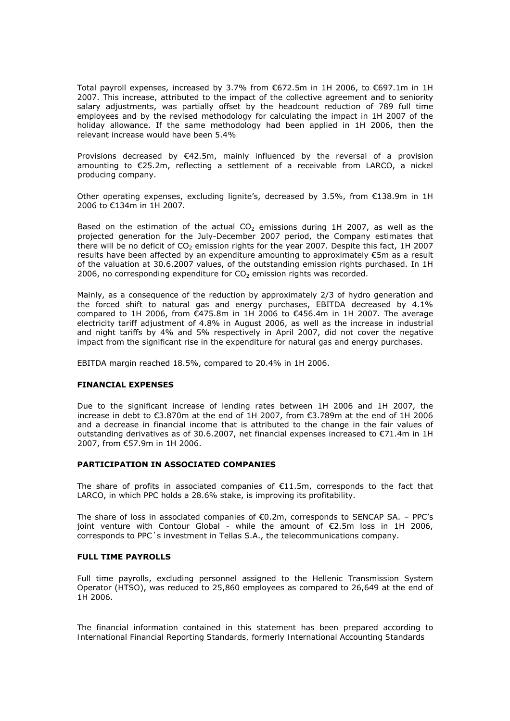Total payroll expenses, increased by 3.7% from €672.5m in 1H 2006, to €697.1m in 1H 2007. This increase, attributed to the impact of the collective agreement and to seniority salary adjustments, was partially offset by the headcount reduction of 789 full time employees and by the revised methodology for calculating the impact in 1H 2007 of the holiday allowance. If the same methodology had been applied in 1H 2006, then the relevant increase would have been 5.4%

Provisions decreased by  $\epsilon$ 42.5m, mainly influenced by the reversal of a provision amounting to €25.2m, reflecting a settlement of a receivable from LARCO, a nickel producing company.

Other operating expenses, excluding lignite's, decreased by 3.5%, from €138.9m in 1Η 2006 to €134m in 1Η 2007.

Based on the estimation of the actual  $CO<sub>2</sub>$  emissions during 1H 2007, as well as the projected generation for the July-December 2007 period, the Company estimates that there will be no deficit of  $CO<sub>2</sub>$  emission rights for the year 2007. Despite this fact, 1H 2007 results have been affected by an expenditure amounting to approximately €5m as a result of the valuation at 30.6.2007 values, of the outstanding emission rights purchased. In 1H 2006, no corresponding expenditure for  $CO<sub>2</sub>$  emission rights was recorded.

Mainly, as a consequence of the reduction by approximately 2/3 of hydro generation and the forced shift to natural gas and energy purchases, EBITDA decreased by 4.1% compared to 1H 2006, from  $\epsilon$ 475.8m in 1H 2006 to €456.4m in 1H 2007. The average electricity tariff adjustment of 4.8% in August 2006, as well as the increase in industrial and night tariffs by 4% and 5% respectively in April 2007, did not cover the negative impact from the significant rise in the expenditure for natural gas and energy purchases.

EBITDA margin reached 18.5%, compared to 20.4% in 1H 2006.

#### **FINANCIAL EXPENSES**

Due to the significant increase of lending rates between 1Η 2006 and 1Η 2007, the increase in debt to €3.870m at the end of 1Η 2007, from €3.789m at the end of 1Η 2006 and a decrease in financial income that is attributed to the change in the fair values of outstanding derivatives as of 30.6.2007, net financial expenses increased to €71.4m in 1Η 2007, from €57.9m in 1Η 2006.

## **PARTICIPATION IN ASSOCIATED COMPANIES**

The share of profits in associated companies of  $E11.5m$ , corresponds to the fact that LARCO, in which PPC holds a 28.6% stake, is improving its profitability.

The share of loss in associated companies of  $E$ 0.2m, corresponds to SENCAP SA. - PPC's joint venture with Contour Global - while the amount of €2.5m loss in 1H 2006, corresponds to PPC΄s investment in Tellas S.A., the telecommunications company.

## **FULL TIME PAYROLLS**

Full time payrolls, excluding personnel assigned to the Hellenic Transmission System Operator (HTSO), was reduced to 25,860 employees as compared to 26,649 at the end of 1H 2006.

*The financial information contained in this statement has been prepared according to International Financial Reporting Standards, formerly International Accounting Standards*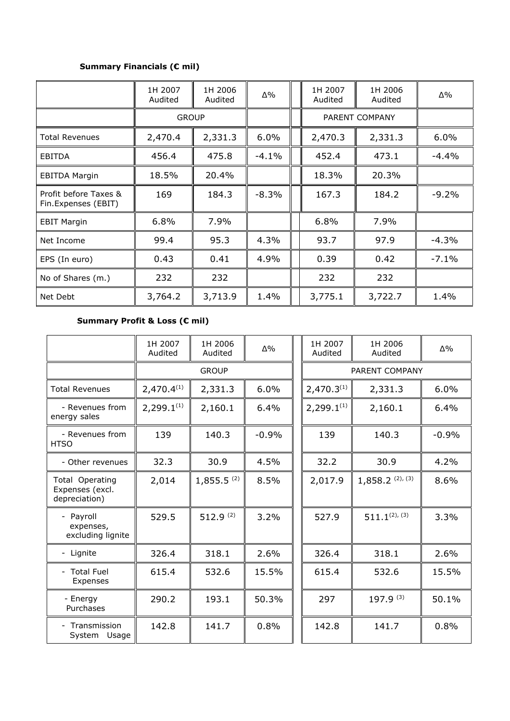## **Summary Financials (€ mil)**

|                                              | 1H 2007<br>Audited | 1H 2006<br>Audited | Δ%       | 1H 2007<br>Audited | 1H 2006<br>Audited | Δ%      |
|----------------------------------------------|--------------------|--------------------|----------|--------------------|--------------------|---------|
|                                              | <b>GROUP</b>       |                    |          | PARENT COMPANY     |                    |         |
| <b>Total Revenues</b>                        | 2,470.4            | 2,331.3            | $6.0\%$  | 2,470.3            | 2,331.3            | $6.0\%$ |
| <b>EBITDA</b>                                | 456.4              | 475.8              | $-4.1\%$ | 452.4              | 473.1              | $-4.4%$ |
| <b>EBITDA Margin</b>                         | 18.5%              | 20.4%              |          | 18.3%              | 20.3%              |         |
| Profit before Taxes &<br>Fin.Expenses (EBIT) | 169                | 184.3              | $-8.3%$  | 167.3              | 184.2              | $-9.2%$ |
| <b>EBIT Margin</b>                           | 6.8%               | 7.9%               |          | 6.8%               | 7.9%               |         |
| Net Income                                   | 99.4               | 95.3               | 4.3%     | 93.7               | 97.9               | $-4.3%$ |
| EPS (In euro)                                | 0.43               | 0.41               | 4.9%     | 0.39               | 0.42               | $-7.1%$ |
| No of Shares (m.)                            | 232                | 232                |          | 232                | 232                |         |
| Net Debt                                     | 3,764.2            | 3,713.9            | 1.4%     | 3,775.1            | 3,722.7            | 1.4%    |

## **Summary Profit & Loss (€ mil)**

|                                                     | 1H 2007<br>Audited | 1H 2006<br>Audited       | $\Delta\%$ | 1H 2007<br>Audited     | 1H 2006<br>Audited | $\Delta\%$ |
|-----------------------------------------------------|--------------------|--------------------------|------------|------------------------|--------------------|------------|
|                                                     | <b>GROUP</b>       |                          |            | PARENT COMPANY         |                    |            |
| <b>Total Revenues</b>                               | $2,470.4^{(1)}$    | 2,331.3                  | 6.0%       | 2,470.3 <sup>(1)</sup> | 6.0%               |            |
| - Revenues from<br>energy sales                     | $2,299.1^{(1)}$    | 2,160.1                  | 6.4%       | $2,299.1^{(1)}$        | 2,160.1            | 6.4%       |
| - Revenues from<br><b>HTSO</b>                      | 139                | 140.3                    | $-0.9%$    | 139                    | 140.3              | $-0.9%$    |
| - Other revenues                                    | 32.3               | 30.9                     | 4.5%       | 32.2                   | 30.9               | 4.2%       |
| Total Operating<br>Expenses (excl.<br>depreciation) | 2,014              | $1,855.5$ <sup>(2)</sup> | 8.5%       | 2,017.9                | $1,858.2$ (2), (3) | 8.6%       |
| - Payroll<br>expenses,<br>excluding lignite         | 529.5              | 512.9 $(2)$              | 3.2%       | 527.9                  | $511.1^{(2), (3)}$ | 3.3%       |
| - Lignite                                           | 326.4              | 318.1                    | 2.6%       | 326.4                  | 318.1              | 2.6%       |
| - Total Fuel<br>Expenses                            | 615.4              | 532.6                    | 15.5%      | 615.4                  | 532.6              | 15.5%      |
| - Energy<br>Purchases                               | 290.2              | 193.1                    | 50.3%      | 297                    | 197.9 (3)          | 50.1%      |
| - Transmission<br>System Usage                      | 142.8              | 141.7                    | 0.8%       | 142.8                  | 141.7              | 0.8%       |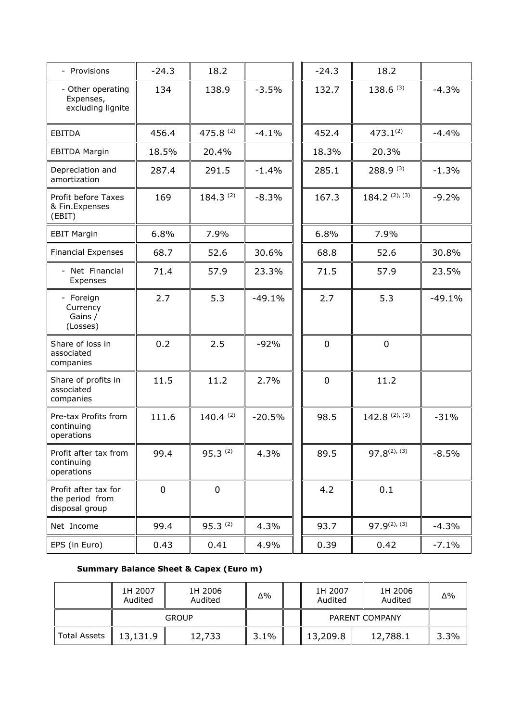| - Provisions                                              | $-24.3$     | 18.2          |          | $-24.3$     | 18.2                        |          |
|-----------------------------------------------------------|-------------|---------------|----------|-------------|-----------------------------|----------|
| - Other operating<br>Expenses,<br>excluding lignite       | 134         | 138.9         | $-3.5%$  | 132.7       | $138.6^{(3)}$               | $-4.3%$  |
| <b>EBITDA</b>                                             | 456.4       | 475.8 (2)     | $-4.1%$  | 452.4       | $473.1^{(2)}$               | $-4.4%$  |
| <b>EBITDA Margin</b>                                      | 18.5%       | 20.4%         |          | 18.3%       | 20.3%                       |          |
| Depreciation and<br>amortization                          | 287.4       | 291.5         | $-1.4\%$ | 285.1       | $288.9^{(3)}$               | $-1.3%$  |
| Profit before Taxes<br>& Fin.Expenses<br>(EBIT)           | 169         | $184.3^{(2)}$ | $-8.3%$  | 167.3       | $184.2^{(2), (3)}$          | $-9.2%$  |
| <b>EBIT Margin</b>                                        | 6.8%        | 7.9%          |          | 6.8%        | 7.9%                        |          |
| <b>Financial Expenses</b>                                 | 68.7        | 52.6          | 30.6%    | 68.8        | 52.6                        | 30.8%    |
| - Net Financial<br>Expenses                               | 71.4        | 57.9          | 23.3%    | 71.5        | 57.9                        | 23.5%    |
| - Foreign<br>Currency<br>Gains /<br>(Losses)              | 2.7         | 5.3           | $-49.1%$ | 2.7         | 5.3                         | $-49.1%$ |
| Share of loss in<br>associated<br>companies               | 0.2         | 2.5           | $-92%$   | $\mathbf 0$ | $\mathbf 0$                 |          |
| Share of profits in<br>associated<br>companies            | 11.5        | 11.2          | 2.7%     | $\mathbf 0$ | 11.2                        |          |
| Pre-tax Profits from<br>continuing<br>operations          | 111.6       | $140.4^{(2)}$ | $-20.5%$ | 98.5        | $142.8$ $^{(2)}$ , $^{(3)}$ | $-31%$   |
| Profit after tax from<br>continuing<br>operations         | 99.4        | $95.3^{(2)}$  | 4.3%     | 89.5        | $97.8^{(2), (3)}$           | $-8.5%$  |
| Profit after tax for<br>the period from<br>disposal group | $\mathbf 0$ | 0             |          | 4.2         | 0.1                         |          |
| Net Income                                                | 99.4        | $95.3^{(2)}$  | 4.3%     | 93.7        | $97.9^{(2), (3)}$           | $-4.3%$  |
| EPS (in Euro)                                             | 0.43        | 0.41          | 4.9%     | 0.39        | 0.42                        | $-7.1%$  |

# **Summary Balance Sheet & Capex (Euro m)**

|              | 1H 2007<br>Audited | 1H 2006<br>Audited | $\Delta\%$     | 1H 2007<br>Audited |  | 1H 2006<br>Audited | Δ%   |
|--------------|--------------------|--------------------|----------------|--------------------|--|--------------------|------|
|              | <b>GROUP</b>       |                    | PARENT COMPANY |                    |  |                    |      |
| Total Assets | 13,131.9           | 12,733             | 3.1%           | 13,209.8           |  | 12,788.1           | 3.3% |